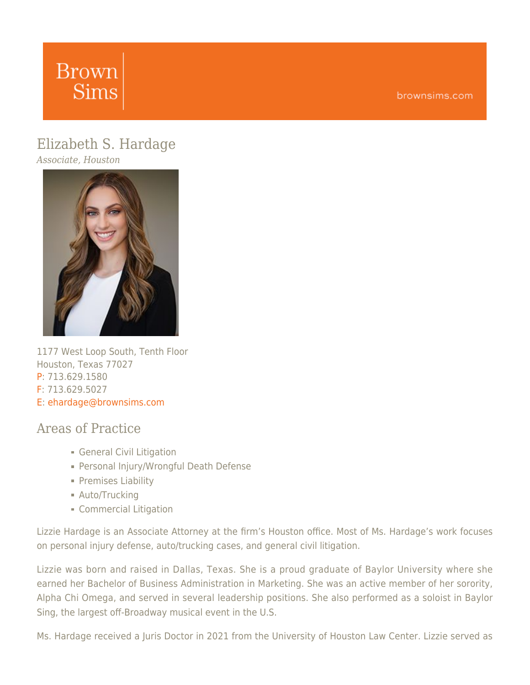# **Brown Sims**

## [Elizabeth](https://www.brownsims.com/lawyers/name/elizabeth-hardage/detail/) [S.](https://www.brownsims.com/lawyers/name/elizabeth-hardage/detail/) [Hardage](https://www.brownsims.com/lawyers/name/elizabeth-hardage/detail/)

*Associate, Houston*



1177 West Loop South, Tenth Floor Houston, Texas 77027 P: 713.629.1580 F: 713.629.5027 E: [ehardage@brownsims.com](mailto:ehardage@brownsims.com)

### Areas of Practice

- General Civil Litigation
- Personal Injury/Wrongful Death Defense
- **Premises Liability**
- **Auto/Trucking**
- **Commercial Litigation**

Lizzie Hardage is an Associate Attorney at the firm's Houston office. Most of Ms. Hardage's work focuses on personal injury defense, auto/trucking cases, and general civil litigation.

Lizzie was born and raised in Dallas, Texas. She is a proud graduate of Baylor University where she earned her Bachelor of Business Administration in Marketing. She was an active member of her sorority, Alpha Chi Omega, and served in several leadership positions. She also performed as a soloist in Baylor Sing, the largest off-Broadway musical event in the U.S.

Ms. Hardage received a Juris Doctor in 2021 from the University of Houston Law Center. Lizzie served as